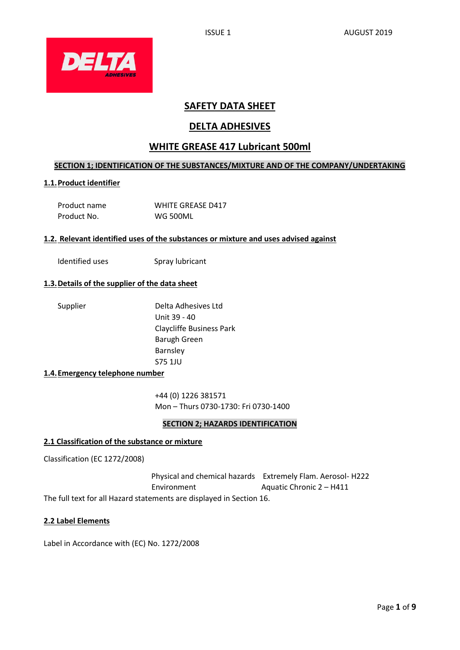

# **SAFETY DATA SHEET**

# **DELTA ADHESIVES**

# **WHITE GREASE 417 Lubricant 500ml**

# **SECTION 1; IDENTIFICATION OF THE SUBSTANCES/MIXTURE AND OF THE COMPANY/UNDERTAKING**

# **1.1.Product identifier**

| Product name | <b>WHITE GREASE D417</b> |
|--------------|--------------------------|
| Product No.  | WG 500ML                 |

#### **1.2. Relevant identified uses of the substances or mixture and uses advised against**

Identified uses Spray lubricant

### **1.3.Details of the supplier of the data sheet**

Supplier Delta Adhesives Ltd Unit 39 - 40 Claycliffe Business Park Barugh Green Barnsley S75 1JU

### **1.4.Emergency telephone number**

+44 (0) 1226 381571 Mon – Thurs 0730-1730: Fri 0730-1400

# **SECTION 2; HAZARDS IDENTIFICATION**

#### **2.1 Classification of the substance or mixture**

Classification (EC 1272/2008)

 Physical and chemical hazards Extremely Flam. Aerosol- H222 Environment Aquatic Chronic 2 – H411 The full text for all Hazard statements are displayed in Section 16.

### **2.2 Label Elements**

Label in Accordance with (EC) No. 1272/2008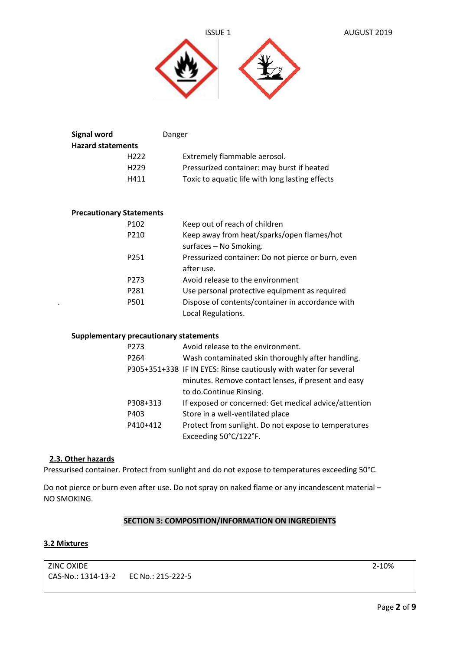



| <b>Signal word</b>       | Danger                                          |
|--------------------------|-------------------------------------------------|
| <b>Hazard statements</b> |                                                 |
| H <sub>222</sub>         | Extremely flammable aerosol.                    |
| H <sub>229</sub>         | Pressurized container: may burst if heated      |
| H411                     | Toxic to aquatic life with long lasting effects |
|                          |                                                 |

# **Precautionary Statements**

|   | P <sub>102</sub> | Keep out of reach of children                      |
|---|------------------|----------------------------------------------------|
|   | P210             | Keep away from heat/sparks/open flames/hot         |
|   |                  | surfaces - No Smoking.                             |
|   | P <sub>251</sub> | Pressurized container: Do not pierce or burn, even |
|   |                  | after use.                                         |
|   | P <sub>273</sub> | Avoid release to the environment                   |
|   | P281             | Use personal protective equipment as required      |
| ٠ | P501             | Dispose of contents/container in accordance with   |
|   |                  | Local Regulations.                                 |

#### **Supplementary precautionary statements**

| P273             | Avoid release to the environment.                                |
|------------------|------------------------------------------------------------------|
| P <sub>264</sub> | Wash contaminated skin thoroughly after handling.                |
|                  | P305+351+338 IF IN EYES: Rinse cautiously with water for several |
|                  | minutes. Remove contact lenses, if present and easy              |
|                  | to do.Continue Rinsing.                                          |
| P308+313         | If exposed or concerned: Get medical advice/attention            |
| P403             | Store in a well-ventilated place                                 |
| P410+412         | Protect from sunlight. Do not expose to temperatures             |
|                  | Exceeding 50°C/122°F.                                            |

### **2.3. Other hazards**

Pressurised container. Protect from sunlight and do not expose to temperatures exceeding 50°C.

Do not pierce or burn even after use. Do not spray on naked flame or any incandescent material – NO SMOKING.

# **SECTION 3: COMPOSITION/INFORMATION ON INGREDIENTS**

#### **3.2 Mixtures**

ZINC OXIDE 2-10% CAS-No.: 1314-13-2 EC No.: 215-222-5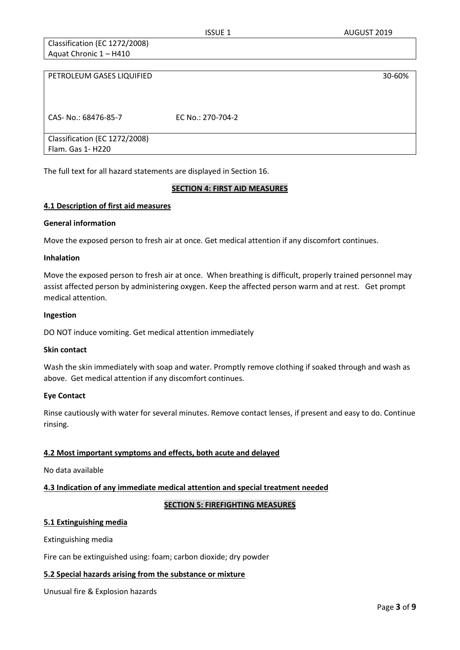Classification (EC 1272/2008) Aquat Chronic 1 – H410

| PETROLEUM GASES LIQUIFIED     |                   | 30-60% |
|-------------------------------|-------------------|--------|
|                               |                   |        |
|                               |                   |        |
| CAS- No.: 68476-85-7          | EC No.: 270-704-2 |        |
|                               |                   |        |
| Classification (EC 1272/2008) |                   |        |
| Flam. Gas 1- H220             |                   |        |

The full text for all hazard statements are displayed in Section 16.

# **SECTION 4: FIRST AID MEASURES**

#### **4.1 Description of first aid measures**

#### **General information**

Move the exposed person to fresh air at once. Get medical attention if any discomfort continues.

#### **Inhalation**

Move the exposed person to fresh air at once. When breathing is difficult, properly trained personnel may assist affected person by administering oxygen. Keep the affected person warm and at rest. Get prompt medical attention.

#### **Ingestion**

DO NOT induce vomiting. Get medical attention immediately

#### **Skin contact**

Wash the skin immediately with soap and water. Promptly remove clothing if soaked through and wash as above. Get medical attention if any discomfort continues.

#### **Eye Contact**

Rinse cautiously with water for several minutes. Remove contact lenses, if present and easy to do. Continue rinsing.

# **4.2 Most important symptoms and effects, both acute and delayed**

No data available

# **4.3 Indication of any immediate medical attention and special treatment needed**

# **SECTION 5: FIREFIGHTING MEASURES**

# **5.1 Extinguishing media**

Extinguishing media

Fire can be extinguished using: foam; carbon dioxide; dry powder

# **5.2 Special hazards arising from the substance or mixture**

Unusual fire & Explosion hazards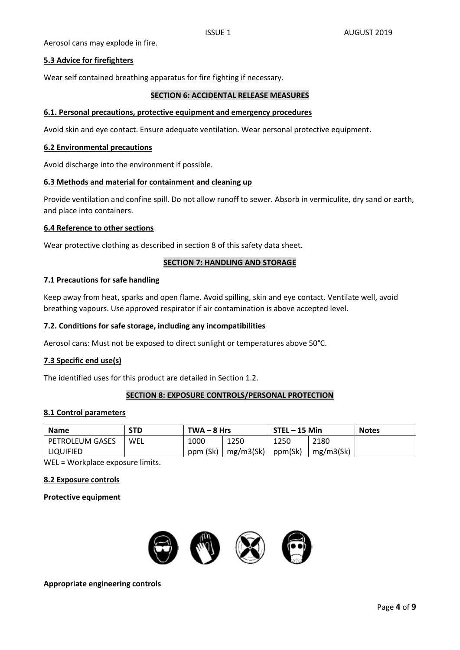Aerosol cans may explode in fire.

### **5.3 Advice for firefighters**

Wear self contained breathing apparatus for fire fighting if necessary.

#### **SECTION 6: ACCIDENTAL RELEASE MEASURES**

#### **6.1. Personal precautions, protective equipment and emergency procedures**

Avoid skin and eye contact. Ensure adequate ventilation. Wear personal protective equipment.

#### **6.2 Environmental precautions**

Avoid discharge into the environment if possible.

#### **6.3 Methods and material for containment and cleaning up**

Provide ventilation and confine spill. Do not allow runoff to sewer. Absorb in vermiculite, dry sand or earth, and place into containers.

#### **6.4 Reference to other sections**

Wear protective clothing as described in section 8 of this safety data sheet.

#### **SECTION 7: HANDLING AND STORAGE**

#### **7.1 Precautions for safe handling**

Keep away from heat, sparks and open flame. Avoid spilling, skin and eye contact. Ventilate well, avoid breathing vapours. Use approved respirator if air contamination is above accepted level.

#### **7.2. Conditions for safe storage, including any incompatibilities**

Aerosol cans: Must not be exposed to direct sunlight or temperatures above 50°C.

# **7.3 Specific end use(s)**

The identified uses for this product are detailed in Section 1.2.

#### **SECTION 8: EXPOSURE CONTROLS/PERSONAL PROTECTION**

#### **8.1 Control parameters**

| <b>Name</b>       | STD | $TWA - 8 Hrs$ |           | STEL - 15 Min |           | <b>Notes</b> |
|-------------------|-----|---------------|-----------|---------------|-----------|--------------|
| l PETROLEUM GASES | WEL | 1000          | 1250      | 1250          | 2180      |              |
| LIQUIFIED         |     | ppm (Sk)      | mg/m3(Sk) | ppm(Sk)       | mg/m3(Sk) |              |

WEL = Workplace exposure limits.

#### **8.2 Exposure controls**

#### **Protective equipment**



**Appropriate engineering controls**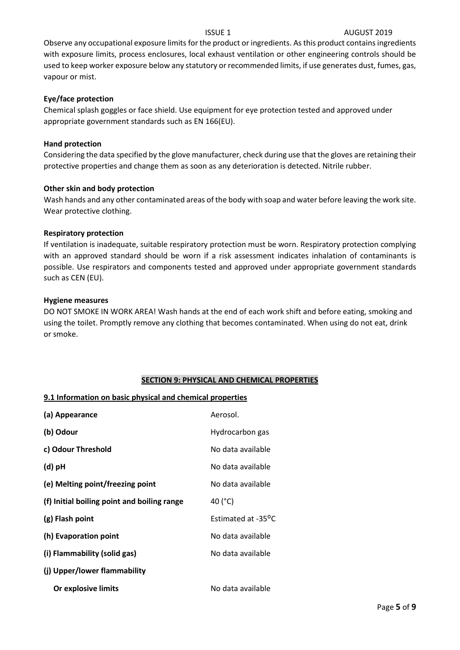# **ISSUE 1** AUGUST 2019

Observe any occupational exposure limits for the product or ingredients. As this product contains ingredients with exposure limits, process enclosures, local exhaust ventilation or other engineering controls should be used to keep worker exposure below any statutory or recommended limits, if use generates dust, fumes, gas, vapour or mist.

# **Eye/face protection**

Chemical splash goggles or face shield. Use equipment for eye protection tested and approved under appropriate government standards such as EN 166(EU).

### **Hand protection**

Considering the data specified by the glove manufacturer, check during use that the gloves are retaining their protective properties and change them as soon as any deterioration is detected. Nitrile rubber.

#### **Other skin and body protection**

Wash hands and any other contaminated areas of the body with soap and water before leaving the work site. Wear protective clothing.

#### **Respiratory protection**

If ventilation is inadequate, suitable respiratory protection must be worn. Respiratory protection complying with an approved standard should be worn if a risk assessment indicates inhalation of contaminants is possible. Use respirators and components tested and approved under appropriate government standards such as CEN (EU).

#### **Hygiene measures**

DO NOT SMOKE IN WORK AREA! Wash hands at the end of each work shift and before eating, smoking and using the toilet. Promptly remove any clothing that becomes contaminated. When using do not eat, drink or smoke.

# **SECTION 9: PHYSICAL AND CHEMICAL PROPERTIES**

# **9.1 Information on basic physical and chemical properties**

| (a) Appearance                              | Aerosol.           |
|---------------------------------------------|--------------------|
| (b) Odour                                   | Hydrocarbon gas    |
| c) Odour Threshold                          | No data available  |
| $(d)$ pH                                    | No data available  |
| (e) Melting point/freezing point            | No data available  |
| (f) Initial boiling point and boiling range | 40 (°C)            |
| (g) Flash point                             | Estimated at -35°C |
| (h) Evaporation point                       | No data available  |
| (i) Flammability (solid gas)                | No data available  |
| (j) Upper/lower flammability                |                    |
| Or explosive limits                         | No data available  |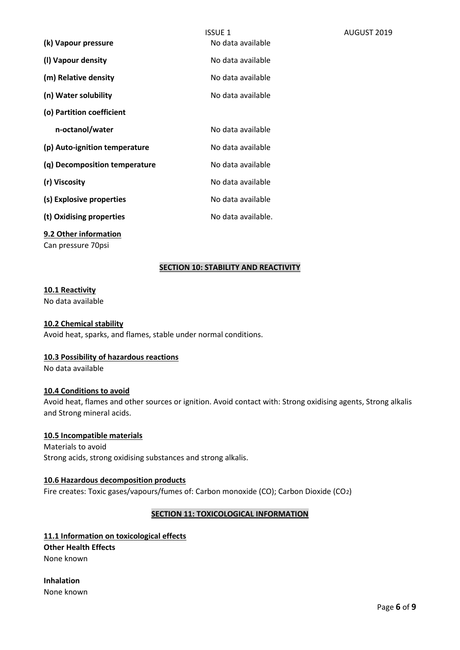|                               | <b>ISSUE 1</b>     | AUGUST 2019 |
|-------------------------------|--------------------|-------------|
| (k) Vapour pressure           | No data available  |             |
| (I) Vapour density            | No data available  |             |
| (m) Relative density          | No data available  |             |
| (n) Water solubility          | No data available  |             |
| (o) Partition coefficient     |                    |             |
| n-octanol/water               | No data available  |             |
| (p) Auto-ignition temperature | No data available  |             |
| (q) Decomposition temperature | No data available  |             |
| (r) Viscosity                 | No data available  |             |
| (s) Explosive properties      | No data available  |             |
| (t) Oxidising properties      | No data available. |             |

# **9.2 Other information**

Can pressure 70psi

# **SECTION 10: STABILITY AND REACTIVITY**

#### **10.1 Reactivity**

No data available

### **10.2 Chemical stability**

Avoid heat, sparks, and flames, stable under normal conditions.

# **10.3 Possibility of hazardous reactions**

No data available

# **10.4 Conditions to avoid**

Avoid heat, flames and other sources or ignition. Avoid contact with: Strong oxidising agents, Strong alkalis and Strong mineral acids.

# **10.5 Incompatible materials**

Materials to avoid Strong acids, strong oxidising substances and strong alkalis.

#### **10.6 Hazardous decomposition products**

Fire creates: Toxic gases/vapours/fumes of: Carbon monoxide (CO); Carbon Dioxide (CO2)

# **SECTION 11: TOXICOLOGICAL INFORMATION**

**11.1 Information on toxicological effects Other Health Effects** None known

**Inhalation** None known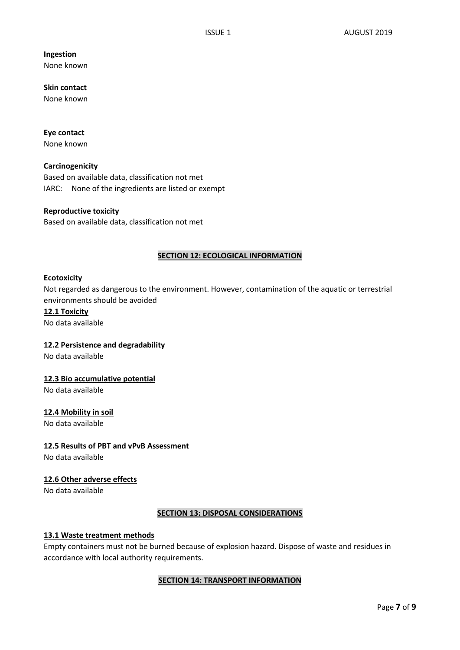# **Ingestion**

None known

**Skin contact**  None known

#### **Eye contact** None known

**Carcinogenicity**

Based on available data, classification not met IARC: None of the ingredients are listed or exempt

# **Reproductive toxicity**

Based on available data, classification not met

# **SECTION 12: ECOLOGICAL INFORMATION**

#### **Ecotoxicity**

Not regarded as dangerous to the environment. However, contamination of the aquatic or terrestrial environments should be avoided

### **12.1 Toxicity** No data available

# **12.2 Persistence and degradability**

No data available

# **12.3 Bio accumulative potential**

No data available

# **12.4 Mobility in soil**

No data available

# **12.5 Results of PBT and vPvB Assessment**

No data available

# **12.6 Other adverse effects**

No data available

# **SECTION 13: DISPOSAL CONSIDERATIONS**

# **13.1 Waste treatment methods**

Empty containers must not be burned because of explosion hazard. Dispose of waste and residues in accordance with local authority requirements.

# **SECTION 14: TRANSPORT INFORMATION**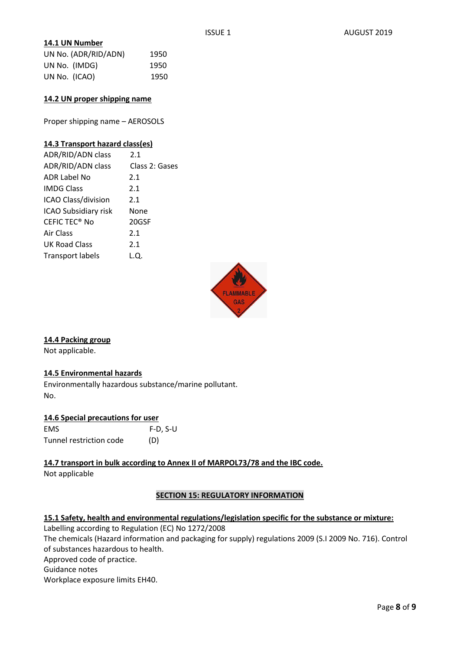### **14.1 UN Number**

| UN No. (ADR/RID/ADN) | 1950 |
|----------------------|------|
| UN No. (IMDG)        | 1950 |
| UN No. (ICAO)        | 1950 |

#### **14.2 UN proper shipping name**

Proper shipping name – AEROSOLS

### **14.3 Transport hazard class(es)**

| ADR/RID/ADN class         | 2.1            |
|---------------------------|----------------|
| ADR/RID/ADN class         | Class 2: Gases |
| ADR Label No              | 2.1            |
| <b>IMDG Class</b>         | 2.1            |
| ICAO Class/division       | 2.1            |
| ICAO Subsidiary risk      | None           |
| CEFIC TEC <sup>®</sup> No | 20GSF          |
| Air Class                 | 2.1            |
| <b>UK Road Class</b>      | 2.1            |
| <b>Transport labels</b>   | L.Q.           |



# **14.4 Packing group**

Not applicable.

# **14.5 Environmental hazards**

Environmentally hazardous substance/marine pollutant. No.

# **14.6 Special precautions for user**

| <b>EMS</b>              | $F-D, S-U$ |
|-------------------------|------------|
| Tunnel restriction code | (D)        |

**14.7 transport in bulk according to Annex II of MARPOL73/78 and the IBC code.**  Not applicable

# **SECTION 15: REGULATORY INFORMATION**

# **15.1 Safety, health and environmental regulations/legislation specific for the substance or mixture:**

Labelling according to Regulation (EC) No 1272/2008 The chemicals (Hazard information and packaging for supply) regulations 2009 (S.I 2009 No. 716). Control of substances hazardous to health.

Approved code of practice.

Guidance notes

Workplace exposure limits EH40.